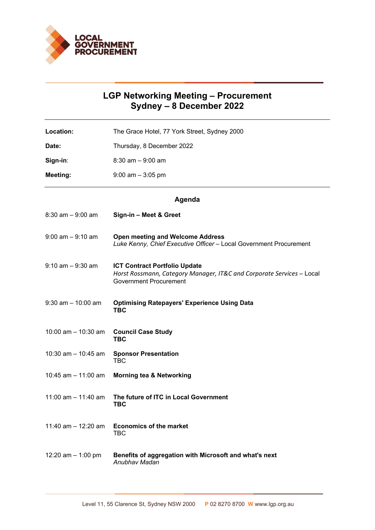

## **LGP Networking Meeting – Procurement Sydney – 8 December 2022**

Location: The Grace Hotel, 77 York Street, Sydney 2000 **Date:** Thursday, 8 December 2022 **Sign-in**: 8:30 am – 9:00 am **Meeting:** 9:00 am – 3:05 pm

## **Agenda**

| $8:30$ am $-9:00$ am  | Sign-in - Meet & Greet                                                                                                                         |
|-----------------------|------------------------------------------------------------------------------------------------------------------------------------------------|
| $9:00$ am $-9:10$ am  | <b>Open meeting and Welcome Address</b><br>Luke Kenny, Chief Executive Officer - Local Government Procurement                                  |
| $9:10$ am $-9:30$ am  | <b>ICT Contract Portfolio Update</b><br>Horst Rossmann, Category Manager, IT&C and Corporate Services - Local<br><b>Government Procurement</b> |
| $9:30$ am $-10:00$ am | <b>Optimising Ratepayers' Experience Using Data</b><br><b>TBC</b>                                                                              |
| 10:00 am $-$ 10:30 am | <b>Council Case Study</b><br><b>TBC</b>                                                                                                        |
| 10:30 am $-$ 10:45 am | <b>Sponsor Presentation</b><br><b>TBC</b>                                                                                                      |
| 10:45 am $-$ 11:00 am | <b>Morning tea &amp; Networking</b>                                                                                                            |
| 11:00 am $-$ 11:40 am | The future of ITC in Local Government<br><b>TBC</b>                                                                                            |
| 11:40 am $-$ 12:20 am | <b>Economics of the market</b><br><b>TBC</b>                                                                                                   |
| 12:20 am $-$ 1:00 pm  | Benefits of aggregation with Microsoft and what's next<br>Anubhay Madan                                                                        |